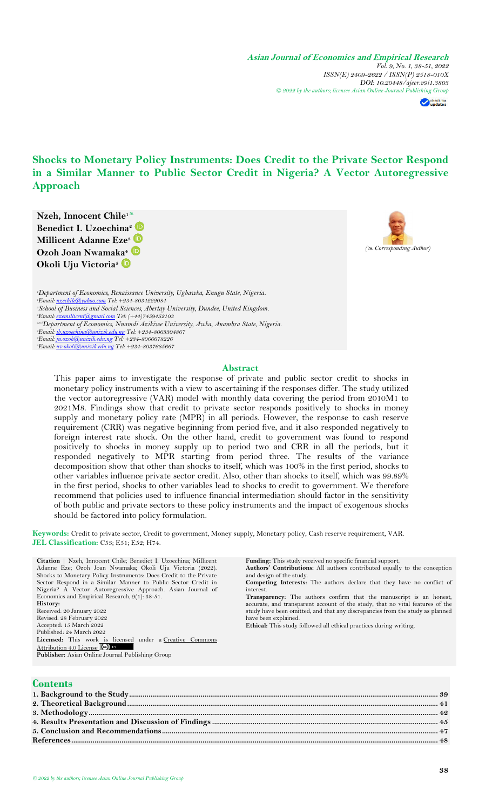**Asian Journal of Economics and Empirical Research** *Vol. 9, No. 1, 38-51, 2022 ISSN(E) 2409-2622 / ISSN(P) 2518-010X DOI: 10.20448/ajeer.v9i1.3803 © 2022 by the authors; licensee Asian Online Journal Publishing Group* 

check for

# **Shocks to Monetary Policy Instruments: Does Credit to the Private Sector Respond in a Similar Manner to Public Sector Credit in Nigeria? A Vector Autoregressive Approach**

**Nzeh, Innocent Chile<sup>1</sup> Benedict I. Uzoechina<sup>2</sup> Millicent Adanne Eze<sup>3</sup> Ozoh Joan Nwamaka<sup>4</sup> Okoli Uju Victoria<sup>5</sup>**



*Department of Economics, Renaissance University, Ugbawka, Enugu State, Nigeria. Email: [nzechile@yahoo.com](mailto:nzechile@yahoo.com) Tel: +234-8034222084 School of Business and Social Sciences, Abertay University, Dundee, United Kingdom. Email: [ezemillicent@gmail.com](mailto:ezemillicent@gmail.com) Tel: (+44)7459452103 2,4,5Department of Economics, Nnamdi Azikiwe University, Awka, Anambra State, Nigeria. Email: [ib.uzoechina@unizik.edu.ng](mailto:ib.uzoechina@unizik.edu.ng) Tel: +234-8063304867 Email: [jn.ozoh@unizik.edu.ng](mailto:jn.ozoh@unizik.edu.ng) Tel: +234-8066678226 Email: [uv.okoli@unizik.edu.ng](mailto:uv.okoli@unizik.edu.ng) Tel: +234-8037685667*

### **Abstract**

This paper aims to investigate the response of private and public sector credit to shocks in monetary policy instruments with a view to ascertaining if the responses differ. The study utilized the vector autoregressive (VAR) model with monthly data covering the period from 2010M1 to 2021M8. Findings show that credit to private sector responds positively to shocks in money supply and monetary policy rate (MPR) in all periods. However, the response to cash reserve requirement (CRR) was negative beginning from period five, and it also responded negatively to foreign interest rate shock. On the other hand, credit to government was found to respond positively to shocks in money supply up to period two and CRR in all the periods, but it responded negatively to MPR starting from period three. The results of the variance decomposition show that other than shocks to itself, which was 100% in the first period, shocks to other variables influence private sector credit. Also, other than shocks to itself, which was 99.89% in the first period, shocks to other variables lead to shocks to credit to government. We therefore recommend that policies used to influence financial intermediation should factor in the sensitivity of both public and private sectors to these policy instruments and the impact of exogenous shocks should be factored into policy formulation.

**Keywords:** Credit to private sector, Credit to government, Money supply, Monetary policy, Cash reserve requirement, VAR. **JEL Classification:** C53; E51; E52; H74.

| Citation   Nzeh, Innocent Chile; Benedict I. Uzoechina; Millicent | <b>Funding:</b> This study received no specific financial support.            |
|-------------------------------------------------------------------|-------------------------------------------------------------------------------|
| Adanne Eze; Ozoh Joan Nwamaka; Okoli Uju Victoria (2022).         | Authors' Contributions: All authors contributed equally to the conception     |
| Shocks to Monetary Policy Instruments: Does Credit to the Private | and design of the study.                                                      |
| Sector Respond in a Similar Manner to Public Sector Credit in     | <b>Competing Interests:</b> The authors declare that they have no conflict of |
| Nigeria? A Vector Autoregressive Approach. Asian Journal of       | interest.                                                                     |
| Economics and Empirical Research, 9(1): 38-51.                    | <b>Transparency:</b> The authors confirm that the manuscript is an honest,    |
| History:                                                          | accurate, and transparent account of the study; that no vital features of the |
| Received: 20 January 2022                                         | study have been omitted, and that any discrepancies from the study as planned |
| Revised: 28 February 2022                                         | have been explained.                                                          |
| Accepted: 15 March 2022                                           | <b>Ethical:</b> This study followed all ethical practices during writing.     |
| Published: 24 March 2022                                          |                                                                               |
| <b>Licensed:</b> This work is licensed under a Creative Commons   |                                                                               |
| Attribution 4.0 License (CC)                                      |                                                                               |

**Publisher:** Asian Online Journal Publishing Group

## **Contents**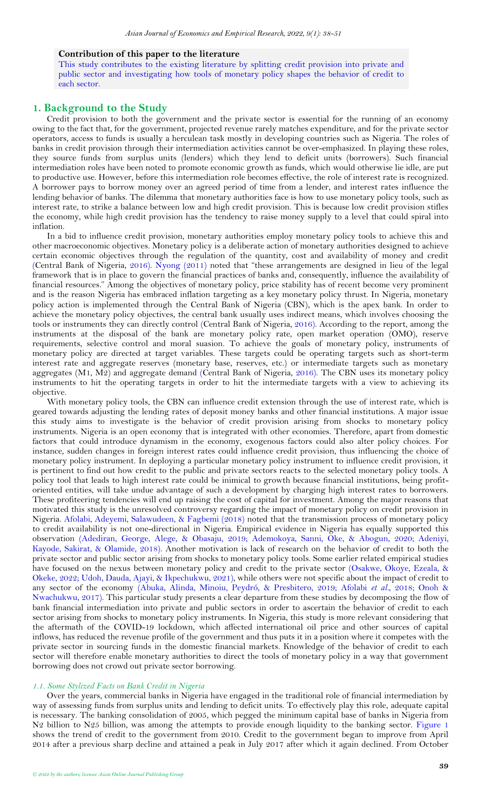### **Contribution of this paper to the literature**

This study contributes to the existing literature by splitting credit provision into private and public sector and investigating how tools of monetary policy shapes the behavior of credit to each sector.

### <span id="page-1-0"></span>**1. Background to the Study**

Credit provision to both the government and the private sector is essential for the running of an economy owing to the fact that, for the government, projected revenue rarely matches expenditure, and for the private sector operators, access to funds is usually a herculean task mostly in developing countries such as Nigeria. The roles of banks in credit provision through their intermediation activities cannot be over-emphasized. In playing these roles, they source funds from surplus units (lenders) which they lend to deficit units (borrowers). Such financial intermediation roles have been noted to promote economic growth as funds, which would otherwise lie idle, are put to productive use. However, before this intermediation role becomes effective, the role of interest rate is recognized. A borrower pays to borrow money over an agreed period of time from a lender, and interest rates influence the lending behavior of banks. The dilemma that monetary authorities face is how to use monetary policy tools, such as interest rate, to strike a balance between low and high credit provision. This is because low credit provision stifles the economy, while high credit provision has the tendency to raise money supply to a level that could spiral into inflation.

In a bid to influence credit provision, monetary authorities employ monetary policy tools to achieve this and other macroeconomic objectives. Monetary policy is a deliberate action of monetary authorities designed to achieve certain economic objectives through the regulation of the quantity, cost and availability of money and credit [\(Central Bank of Nigeria,](#page-10-1) 2016). [Nyong \(2011\)](#page-10-2) noted that "these arrangements are designed in lieu of the legal framework that is in place to govern the financial practices of banks and, consequently, influence the availability of financial resources." Among the objectives of monetary policy, price stability has of recent become very prominent and is the reason Nigeria has embraced inflation targeting as a key monetary policy thrust. In Nigeria, monetary policy action is implemented through the Central Bank of Nigeria (CBN), which is the apex bank. In order to achieve the monetary policy objectives, the central bank usually uses indirect means, which involves choosing the tools or instruments they can directly control [\(Central Bank of Nigeria,](#page-10-1) 2016). According to the report, among the instruments at the disposal of the bank are monetary policy rate, open market operation (OMO), reserve requirements, selective control and moral suasion. To achieve the goals of monetary policy, instruments of monetary policy are directed at target variables. These targets could be operating targets such as short-term interest rate and aggregate reserves (monetary base, reserves, etc.) or intermediate targets such as monetary aggregates (M1, M2) and aggregate demand [\(Central Bank of Nigeria,](#page-10-1) 2016). The CBN uses its monetary policy instruments to hit the operating targets in order to hit the intermediate targets with a view to achieving its objective.

With monetary policy tools, the CBN can influence credit extension through the use of interest rate, which is geared towards adjusting the lending rates of deposit money banks and other financial institutions. A major issue this study aims to investigate is the behavior of credit provision arising from shocks to monetary policy instruments. Nigeria is an open economy that is integrated with other economies. Therefore, apart from domestic factors that could introduce dynamism in the economy, exogenous factors could also alter policy choices. For instance, sudden changes in foreign interest rates could influence credit provision, thus influencing the choice of monetary policy instrument. In deploying a particular monetary policy instrument to influence credit provision, it is pertinent to find out how credit to the public and private sectors reacts to the selected monetary policy tools. A policy tool that leads to high interest rate could be inimical to growth because financial institutions, being profitoriented entities, will take undue advantage of such a development by charging high interest rates to borrowers. These profiteering tendencies will end up raising the cost of capital for investment. Among the major reasons that motivated this study is the unresolved controversy regarding the impact of monetary policy on credit provision in Nigeria. [Afolabi, Adeyemi, Salawudeen, &](#page-10-3) Fagbemi (2018) noted that the transmission process of monetary policy to credit availability is not one-directional in Nigeria. Empirical evidence in Nigeria has equally supported this observation [\(Adediran, George, Alege, & Obasaju, 2019;](#page-10-4) [Ademokoya, Sanni, Oke, & Abogun, 2020;](#page-10-5) [Adeniyi,](#page-10-6)  [Kayode, Sakirat, & Olamide, 2018\)](#page-10-6). Another motivation is lack of research on the behavior of credit to both the private sector and public sector arising from shocks to monetary policy tools. Some earlier related empirical studies have focused on the nexus between monetary policy and credit to the private sector [\(Osakwe, Okoye, Ezeala, &](#page-10-7)  [Okeke, 2022;](#page-10-7) [Udoh, Dauda, Ajayi, & Ikpechukwu, 2021\)](#page-10-8), while others were not specific about the impact of credit to any sector of the economy [\(Abuka, Alinda, Minoiu, Peydró, & Presbitero, 2019;](#page-10-9) [Afolabi](#page-10-3) *et al.*, 2018; [Onoh &](#page-10-10)  [Nwachukwu, 2017\)](#page-10-10). This particular study presents a clear departure from these studies by decomposing the flow of bank financial intermediation into private and public sectors in order to ascertain the behavior of credit to each sector arising from shocks to monetary policy instruments. In Nigeria, this study is more relevant considering that the aftermath of the COVID-19 lockdown, which affected international oil price and other sources of capital inflows, has reduced the revenue profile of the government and thus puts it in a position where it competes with the private sector in sourcing funds in the domestic financial markets. Knowledge of the behavior of credit to each sector will therefore enable monetary authorities to direct the tools of monetary policy in a way that government borrowing does not crowd out private sector borrowing.

#### *1.1. Some Stylized Facts on Bank Credit in Nigeria*

Over the years, commercial banks in Nigeria have engaged in the traditional role of financial intermediation by way of assessing funds from surplus units and lending to deficit units. To effectively play this role, adequate capital is necessary. The banking consolidation of 2005, which pegged the minimum capital base of banks in Nigeria from N2 billion to N25 billion, was among the attempts to provide enough liquidity to the banking sector. [Figure 1](#page-2-0) shows the trend of credit to the government from 2010. Credit to the government began to improve from April 2014 after a previous sharp decline and attained a peak in July 2017 after which it again declined. From October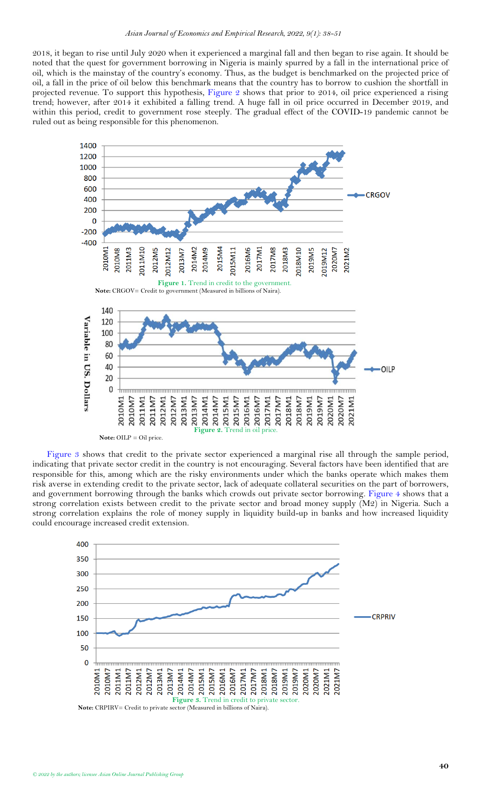2018, it began to rise until July 2020 when it experienced a marginal fall and then began to rise again. It should be noted that the quest for government borrowing in Nigeria is mainly spurred by a fall in the international price of oil, which is the mainstay of the country's economy. Thus, as the budget is benchmarked on the projected price of oil, a fall in the price of oil below this benchmark means that the country has to borrow to cushion the shortfall in projected revenue. To support this hypothesis, [Figure 2](#page-2-1) shows that prior to 2014, oil price experienced a rising trend; however, after 2014 it exhibited a falling trend. A huge fall in oil price occurred in December 2019, and within this period, credit to government rose steeply. The gradual effect of the COVID-19 pandemic cannot be ruled out as being responsible for this phenomenon.

<span id="page-2-0"></span>

<span id="page-2-1"></span>[Figure 3](#page-2-2) shows that credit to the private sector experienced a marginal rise all through the sample period, indicating that private sector credit in the country is not encouraging. Several factors have been identified that are responsible for this, among which are the risky environments under which the banks operate which makes them risk averse in extending credit to the private sector, lack of adequate collateral securities on the part of borrowers, and government borrowing through the banks which crowds out private sector borrowing. [Figure](#page-3-1) 4 shows that a strong correlation exists between credit to the private sector and broad money supply (M2) in Nigeria. Such a strong correlation explains the role of money supply in liquidity build-up in banks and how increased liquidity could encourage increased credit extension.



<span id="page-2-2"></span>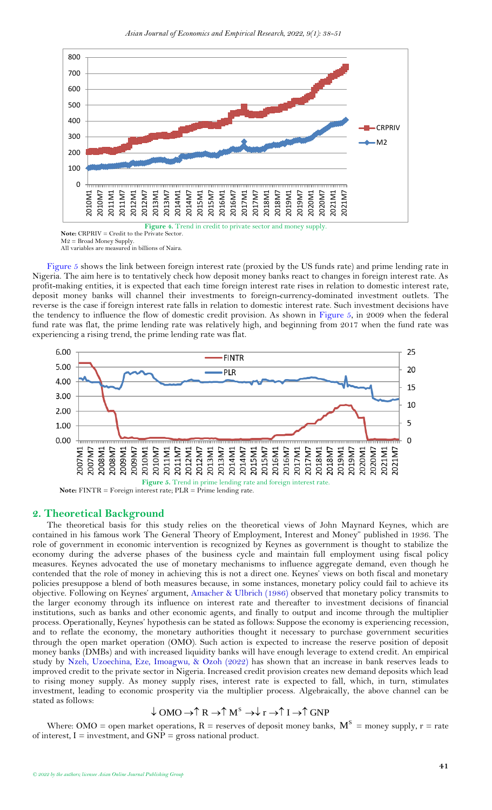

<span id="page-3-1"></span> $M2 =$  Broad Money Supply. All variables are measured in billions of Naira.

[Figure 5](#page-3-2) shows the link between foreign interest rate (proxied by the US funds rate) and prime lending rate in Nigeria. The aim here is to tentatively check how deposit money banks react to changes in foreign interest rate. As profit-making entities, it is expected that each time foreign interest rate rises in relation to domestic interest rate, deposit money banks will channel their investments to foreign-currency-dominated investment outlets. The reverse is the case if foreign interest rate falls in relation to domestic interest rate. Such investment decisions have the tendency to influence the flow of domestic credit provision. As shown in [Figure 5,](#page-3-2) in 2009 when the federal fund rate was flat, the prime lending rate was relatively high, and beginning from 2017 when the fund rate was experiencing a rising trend, the prime lending rate was flat.



<span id="page-3-2"></span> **Note:** FINTR = Foreign interest rate; PLR = Prime lending rate.

## <span id="page-3-0"></span>**2. Theoretical Background**

The theoretical basis for this study relies on the theoretical views of John Maynard Keynes, which are contained in his famous work The General Theory of Employment, Interest and Money" published in 1936. The role of government in economic intervention is recognized by Keynes as government is thought to stabilize the economy during the adverse phases of the business cycle and maintain full employment using fiscal policy measures. Keynes advocated the use of monetary mechanisms to influence aggregate demand, even though he contended that the role of money in achieving this is not a direct one. Keynes' views on both fiscal and monetary policies presuppose a blend of both measures because, in some instances, monetary policy could fail to achieve its objective. Following on Keynes' argument, Amacher & [Ulbrich \(1986\)](#page-10-11) observed that monetary policy transmits to the larger economy through its influence on interest rate and thereafter to investment decisions of financial institutions, such as banks and other economic agents, and finally to output and income through the multiplier process. Operationally, Keynes' hypothesis can be stated as follows: Suppose the economy is experiencing recession, and to reflate the economy, the monetary authorities thought it necessary to purchase government securities through the open market operation (OMO). Such action is expected to increase the reserve position of deposit money banks (DMBs) and with increased liquidity banks will have enough leverage to extend credit. An empirical study by [Nzeh, Uzoechina, Eze, Imoagwu, &](#page-10-12) Ozoh (2022) has shown that an increase in bank reserves leads to improved credit to the private sector in Nigeria. Increased credit provision creates new demand deposits which lead to rising money supply. As money supply rises, interest rate is expected to fall, which, in turn, stimulates investment, leading to economic prosperity via the multiplier process. Algebraically, the above channel can be stated as follows:

## $\downarrow$  OMO  $\rightarrow \uparrow$  R  $\rightarrow \uparrow$  M<sup>s</sup>  $\rightarrow \downarrow$  r  $\rightarrow \uparrow$  I  $\rightarrow \uparrow$  GNP

Where: OMO = open market operations, R = reserves of deposit money banks,  $M^S$  = money supply, r = rate of interest,  $I =$  investment, and  $GNP =$  gross national product.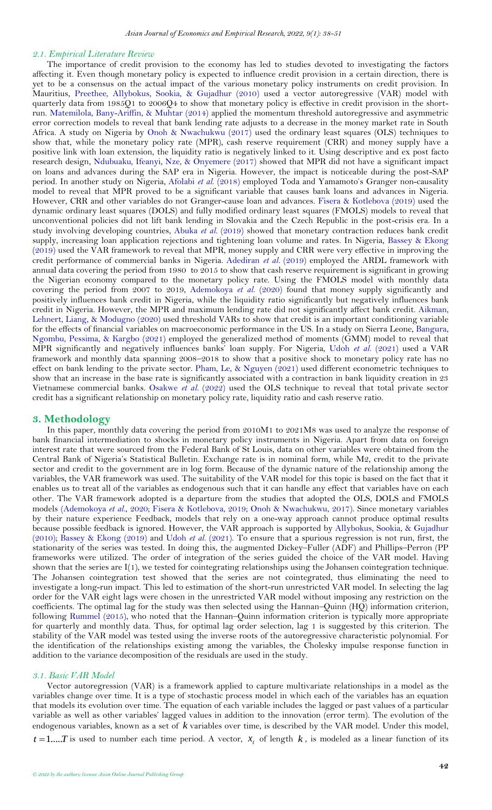### *2.1. Empirical Literature Review*

The importance of credit provision to the economy has led to studies devoted to investigating the factors affecting it. Even though monetary policy is expected to influence credit provision in a certain direction, there is yet to be a consensus on the actual impact of the various monetary policy instruments on credit provision. In Mauritius, [Preethee, Allybokus, Sookia, &](#page-10-13) Gujadhur (2010) used a vector autoregressive (VAR) model with quarterly data from 1985Q1 to 2006Q4 to show that monetary policy is effective in credit provision in the shortrun. [Matemilola, Bany-Ariffin, &](#page-10-14) Muhtar (2014) applied the momentum threshold autoregressive and asymmetric error correction models to reveal that bank lending rate adjusts to a decrease in the money market rate in South Africa. A study on Nigeria by Onoh & [Nwachukwu \(2017\)](#page-10-10) used the ordinary least squares (OLS) techniques to show that, while the monetary policy rate (MPR), cash reserve requirement (CRR) and money supply have a positive link with loan extension, the liquidity ratio is negatively linked to it. Using descriptive and ex post facto research design, [Ndubuaku, Ifeanyi, Nze, &](#page-10-15) Onyemere (2017) showed that MPR did not have a significant impact on loans and advances during the SAP era in Nigeria. However, the impact is noticeable during the post-SAP period. In another study on Nigeria, [Afolabi](#page-10-3) *et al*. (2018) employed Toda and Yamamoto's Granger non-causality model to reveal that MPR proved to be a significant variable that causes bank loans and advances in Nigeria. However, CRR and other variables do not Granger-cause loan and advances. Fisera & [Kotlebova \(2019\)](#page-10-16) used the dynamic ordinary least squares (DOLS) and fully modified ordinary least squares (FMOLS) models to reveal that unconventional policies did not lift bank lending in Slovakia and the Czech Republic in the post-crisis era. In a study involving developing countries, [Abuka](#page-10-9) *et al.* (2019) showed that monetary contraction reduces bank credit supply, increasing loan application rejections and tightening loan volume and rates. In Nigeria, [Bassey &](#page-10-17) Ekong [\(2019\)](#page-10-17) used the VAR framework to reveal that MPR, money supply and CRR were very effective in improving the credit performance of commercial banks in Nigeria. [Adediran](#page-10-4) *et al.* (2019) employed the ARDL framework with annual data covering the period from 1980 to 2015 to show that cash reserve requirement is significant in growing the Nigerian economy compared to the monetary policy rate. Using the FMOLS model with monthly data covering the period from 2007 to 2019, [Ademokoya](#page-10-5) *et al.* (2020) found that money supply significantly and positively influences bank credit in Nigeria, while the liquidity ratio significantly but negatively influences bank credit in Nigeria. However, the MPR and maximum lending rate did not significantly affect bank credit. [Aikman,](#page-10-18)  [Lehnert, Liang, &](#page-10-18) Modugno (2020) used threshold VARs to show that credit is an important conditioning variable for the effects of financial variables on macroeconomic performance in the US. In a study on Sierra Leone, [Bangura,](#page-10-19)  [Ngombu, Pessima, &](#page-10-19) Kargbo (2021) employed the generalized method of moments (GMM) model to reveal that MPR significantly and negatively influences banks' loan supply. For Nigeria, [Udoh](#page-10-8) *et al.* (2021) used a VAR framework and monthly data spanning 2008–2018 to show that a positive shock to monetary policy rate has no effect on bank lending to the private sector. Pham, Le, & [Nguyen \(2021\)](#page-10-20) used different econometric techniques to show that an increase in the base rate is significantly associated with a contraction in bank liquidity creation in 23 Vietnamese commercial banks. [Osakwe](#page-10-7) *et al.* (2022) used the OLS technique to reveal that total private sector credit has a significant relationship on monetary policy rate, liquidity ratio and cash reserve ratio.

## <span id="page-4-0"></span>**3. Methodology**

In this paper, monthly data covering the period from 2010M1 to 2021M8 was used to analyze the response of bank financial intermediation to shocks in monetary policy instruments in Nigeria. Apart from data on foreign interest rate that were sourced from the Federal Bank of St Louis, data on other variables were obtained from the Central Bank of Nigeria's Statistical Bulletin. Exchange rate is in nominal form, while M2, credit to the private sector and credit to the government are in log form. Because of the dynamic nature of the relationship among the variables, the VAR framework was used. The suitability of the VAR model for this topic is based on the fact that it enables us to treat all of the variables as endogenous such that it can handle any effect that variables have on each other*.* The VAR framework adopted is a departure from the studies that adopted the OLS, DOLS and FMOLS models [\(Ademokoya](#page-10-5) *et al.*, 2020; [Fisera & Kotlebova, 2019;](#page-10-16) [Onoh & Nwachukwu, 2017\)](#page-10-10). Since monetary variables by their nature experience Feedback, models that rely on a one-way approach cannot produce optimal results because possible feedback is ignored. However, the VAR approach is supported by [Allybokus, Sookia, &](#page-10-21) Gujadhur [\(2010\)](#page-10-21); Bassey & [Ekong \(2019\)](#page-10-17) and [Udoh](#page-10-8) *et al.* (2021). To ensure that a spurious regression is not run, first, the stationarity of the series was tested. In doing this, the augmented Dickey–Fuller (ADF) and Phillips–Perron (PP frameworks were utilized. The order of integration of the series guided the choice of the VAR model. Having shown that the series are I(1), we tested for cointegrating relationships using the Johansen cointegration technique. The Johansen cointegration test showed that the series are not cointegrated, thus eliminating the need to investigate a long-run impact. This led to estimation of the short-run unrestricted VAR model. In selecting the lag order for the VAR eight lags were chosen in the unrestricted VAR model without imposing any restriction on the coefficients. The optimal lag for the study was then selected using the Hannan–Quinn (HQ) information criterion, following [Rummel \(2015\)](#page-10-22), who noted that the Hannan–Quinn information criterion is typically more appropriate for quarterly and monthly data. Thus, for optimal lag order selection, lag 1 is suggested by this criterion. The stability of the VAR model was tested using the inverse roots of the autoregressive characteristic polynomial. For the identification of the relationships existing among the variables, the Cholesky impulse response function in addition to the variance decomposition of the residuals are used in the study.

### *3.1. Basic VAR Model*

Vector autoregression (VAR) is a framework applied to capture multivariate relationships in a model as the variables change over time. It is a type of [stochastic](https://en.wikipedia.org/wiki/Stochastic_process) process model in which each of the variables has an equation that models its evolution over time. The equation of each variable includes the [lagged](https://en.wikipedia.org/wiki/Lag_operator) or past values of a particular variable as well as other variables' lagged values in addition to the innovation (error term). The evolution of the endogenous variables, known as a set of *k* variables over time, is described by the VAR model. Under this model,  $t = 1,...T$  is used to number each time period. A vector,  $x_t$  of length  $k$ , is modeled as a linear function of its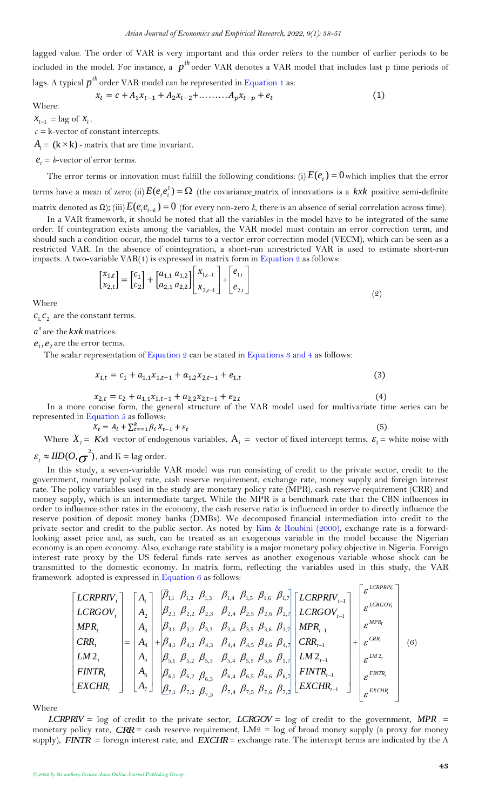lagged value. The order of VAR is very important and this order refers to the number of earlier periods to be included in the model. For instance, a  $p^{th}$  order VAR denotes a VAR model that includes last p time periods of lags. A typical  $p^{th}$  order VAR model can be represented in [Equation 1](#page-5-0) as:

<span id="page-5-0"></span>
$$
x_t = c + A_1 x_{t-1} + A_2 x_{t-2} + \dots + A_p x_{t-p} + e_t
$$
 (1)

Where:

 $x_{t-1} = \log \text{ of } x_t$ . *c =* k-vector of constant [intercepts](https://en.wikipedia.org/wiki/Y-intercept).

 $A<sub>t</sub> = (k \times k)$  - matrix that are time invariant.

 $e_t = k$ -vector of [error](https://en.wikipedia.org/wiki/Errors_and_residuals_in_statistics) terms.

The error terms or innovation must fulfill the following conditions: (i)  $E(e_t) = 0$  which implies that the error terms have a [mean](https://en.wikipedia.org/wiki/Expected_value) of zero; (ii)  $E(e_ie^1)=\Omega$  (the [covariance](https://en.wikipedia.org/wiki/Covariance_matrix) matrix of innovations is a kxk positive [semi-definite](https://en.wikipedia.org/wiki/Positive-definite_matrix) [matrix](https://en.wikipedia.org/wiki/Positive-definite_matrix) denoted as Ω); (iii)  $E(e_ie_{t-k})=0$  (for every non-zero *k*, there is an absence of serial [correlation](https://en.wikipedia.org/wiki/Correlation) across time).

In a VAR framework, it should be noted that all the variables in the model have to be integrated of the same order. If cointegration exists among the variables, the VAR model must contain an error correction term, and should such a condition occur, the model turns to a vector [error correction model](https://en.wikipedia.org/wiki/Error_correction_model) (VECM), which can be seen as a restricted VAR. In the absence of cointegration, a short-run unrestricted VAR is used to estimate short-run impacts. A two-variable  $VAR(1)$  is expressed in matrix form in [Equation 2](#page-5-1) as follows:

<span id="page-5-1"></span>
$$
\begin{bmatrix} x_{1,t} \\ x_{2,t} \end{bmatrix} = \begin{bmatrix} c_1 \\ c_2 \end{bmatrix} + \begin{bmatrix} a_{1,1} & a_{1,2} \\ a_{2,1} & a_{2,2} \end{bmatrix} \begin{bmatrix} x_{1,t-1} \\ x_{2,t-1} \end{bmatrix} + \begin{bmatrix} e_{1,t} \\ e_{2,t} \end{bmatrix}
$$
\n(2)

Where

 $c_1$ ,  $c_2$  are the constant terms.

*s a* are the *kxk* matrices.

 $e_1, e_2$  are the error terms.

<span id="page-5-2"></span>The scalar representation of [Equation 2](#page-5-1) can be stated in [Equations 3 and 4](#page-5-2) as follows:

$$
x_{1,t} = c_1 + a_{1,1}x_{1,t-1} + a_{1,2}x_{2,t-1} + e_{1,t}
$$
\n<sup>(3)</sup>

<span id="page-5-3"></span>
$$
x_{2,t} = c_2 + a_{1,1}x_{1,t-1} + a_{2,2}x_{2,t-1} + e_{2,t}
$$
\n
$$
\tag{4}
$$

In a more concise form, the general structure of the VAR model used for multivariate time series can be represented in [Equation 5](#page-5-3) as follows:

$$
X_t = A_i + \sum_{t=-1}^k \beta_i X_{t-1} + \varepsilon_t \tag{5}
$$

Where 
$$
X_t = Kx1
$$
 vector of endogenous variables,  $A_i$  = vector of fixed intercept terms,  $\varepsilon_t$  = white noise with

 $\varepsilon_t \approx \text{IID}(O, \sigma^2)$ , and K = lag order.

In this study, a seven-variable VAR model was run consisting of credit to the private sector, credit to the government, monetary policy rate, cash reserve requirement, exchange rate, money supply and foreign interest rate. The policy variables used in the study are monetary policy rate (MPR), cash reserve requirement (CRR) and money supply, which is an intermediate target. While the MPR is a benchmark rate that the CBN influences in order to influence other rates in the economy, the cash reserve ratio is influenced in order to directly influence the reserve position of deposit money banks (DMBs). We decomposed financial intermediation into credit to the private sector and credit to the public sector. As noted by Kim & [Roubini \(2000\)](#page-10-23), exchange rate is a forwardlooking asset price and, as such, can be treated as an exogenous variable in the model because the Nigerian economy is an open economy. Also, exchange rate stability is a major monetary policy objective in Nigeria. Foreign interest rate proxy by the US federal funds rate serves as another exogenous variable whose shock can be transmitted to the domestic economy. In matrix form, reflecting the variables used in this study, the VAR framework adopted is expressed in Equation  $6$  as follows:

<span id="page-5-4"></span>
$$
\begin{bmatrix}\nLCRPRV_{t} \\
LCRGOV_{t} \\
MPR_{t} \\
CRR_{t} \\
LM2_{t} \\
ENTR_{t} \\
EXCHR_{t}\n\end{bmatrix} = \begin{bmatrix}\nA_{1} \\
A_{2} \\
A_{3} \\
A_{4} \\
A_{5} \\
A_{6} \\
A_{7}\n\end{bmatrix} + \begin{bmatrix}\nB_{1,1} & B_{1,2} & B_{1,3} & B_{1,4} & B_{1,5} & B_{1,6} & B_{1,7} \\
B_{2,1} & B_{2,2} & B_{2,3} & B_{2,4} & B_{2,5} & B_{2,6} & B_{2,7} \\
B_{3,1} & B_{3,2} & B_{3,3} & B_{3,4} & B_{3,5} & B_{3,6} & B_{3,7} \\
B_{4,1} & B_{4,2} & B_{4,3} & B_{4,4} & B_{4,5} & B_{4,6} & B_{4,7} \\
B_{5,1} & B_{5,2} & B_{5,3} & B_{5,4} & B_{5,5} & B_{5,6} & B_{5,7} \\
B_{6,1} & B_{6,2} & B_{6,3} & B_{6,4} & B_{6,5} & B_{6,6} & B_{6,7} \\
B_{7,1} & B_{7,2} & B_{7,3} & B_{7,4} & B_{7,5} & B_{7,6} & B_{7,2}\n\end{bmatrix} + \begin{bmatrix}\nECRPRV_{t-1} \\
ECRGOV_{t-1} \\
ECRR_{t-1} \\
ECRR_{t-1} \\
ECRR_{t-1} \\
ECRR_{t-1}\n\end{bmatrix} + \begin{bmatrix}\n\epsilon^{LCRPRIV_{t-1}} \\
\epsilon^{CRR_{t}} \\
\epsilon^{CRR_{t}} \\
\epsilon^{CRR_{t}} \\
\epsilon^{CRR_{t}} \\
\epsilon^{EMR_{t}} \\
\epsilon^{EMR_{t}}\n\end{bmatrix} (6)
$$

Where

*LCRPRIV* = log of credit to the private sector, *LCRGOV* = log of credit to the government, *MPR* = monetary policy rate, *CRR* = cash reserve requirement, LM2 = log of broad money supply (a proxy for money supply), *FINTR* = foreign interest rate, and *EXCHR* = exchange rate. The intercept terms are indicated by the A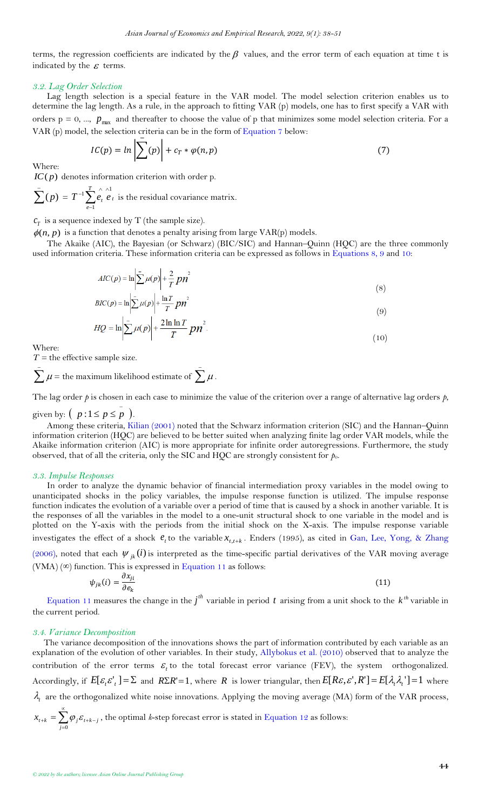terms, the regression coefficients are indicated by the  $\beta$  values, and the error term of each equation at time t is indicated by the  $\varepsilon$  terms.

### *3.2. Lag Order Selection*

Lag length selection is a special feature in the VAR model. The model selection criterion enables us to determine the lag length. As a rule, in the approach to fitting VAR (p) models, one has to first specify a VAR with orders  $p = 0, ..., p_{max}$  and thereafter to choose the value of p that minimizes some model selection criteria. For a VAR (p) model, the selection criteria can be in the form of [Equation 7](#page-6-0) below:

<span id="page-6-0"></span>
$$
IC(p) = \ln \left| \sum_{i} (p) \right| + c_T * \varphi(n, p) \tag{7}
$$

Where:

*IC*( *p*) denotes information criterion with order p.

$$
\sum_{\ell=1}^{n} (p) = T^{-1} \sum_{e=1}^{T} \sum_{\ell}^{\wedge} \sum_{\ell=1}^{n} \text{ is the residual covariance matrix.}
$$

 $c_T^{\phantom{\dag}}$  is a sequence indexed by T (the sample size).

 $\phi(n, p)$  is a function that denotes a penalty arising from large VAR(p) models.

The Akaike (AIC), the Bayesian (or Schwarz) (BIC/SIC) and Hannan–Quinn (HQC) are the three commonly used information criteria. These information criteria can be expressed as follows in [Equations 8, 9 and](#page-6-1) 10:

<span id="page-6-1"></span>
$$
AIC(p) = \ln \left| \sum_{i=1}^{n} \mu(p) \right| + \frac{2}{T} p n^2
$$
  

$$
BIC(p) = \ln \left| \sum_{i=1}^{n} \mu(p) \right| + \frac{\ln T}{T} p n^2
$$
 (8)

$$
\sum_{I \subset \mathcal{P}} \left| \sum_{i=1}^{N} \left( \sum_{i=1}^{N} \right)^{i} \right|^{T} \left| \sum_{i=1}^{N} P^{II} \right|
$$
\n
$$
\sum_{i=1}^{N} \left| \sum_{i=1}^{N} \left( \sum_{i=1}^{N} \right)^{i} \right|^{T} \left| \sum_{i=1}^{N} P^{II} \right|
$$
\n(9)

$$
HQ = \ln|\frac{1}{2}\mu(P)| + \frac{T}{T}P\theta
$$
\n(10)

Where:

 $T =$  the effective sample size.

 $\sum \mu =$  the maximum likelihood estimate of  $\sum \mu$  .

The lag order  $p$  is chosen in each case to minimize the value of the criterion over a range of alternative lag orders  $p$ ,

# given by:  $\binom{p}{1 \leq p \leq p}$ .

Among these criteria, [Kilian \(2001\)](#page-10-24) noted that the Schwarz information criterion (SIC) and the Hannan–Quinn information criterion (HQC) are believed to be better suited when analyzing finite lag order VAR models, while the Akaike information criterion (AIC) is more appropriate for infinite order autoregressions. Furthermore, the study observed, that of all the criteria, only the SIC and HQC are strongly consistent for *p*o.

#### *3.3. Impulse Responses*

In order to analyze the dynamic behavior of financial intermediation proxy variables in the model owing to unanticipated shocks in the policy variables, the impulse response function is utilized. The impulse response function indicates the evolution of a variable over a period of time that is caused by a shock in another variable. It is the responses of all the variables in the model to a one-unit structural shock to one variable in the model and is plotted on the Y-axis with the periods from the initial shock on the X-axis. The impulse response variable investigates the effect of a shock  $e_t$  to the variable  $x_{t,t+k}$ . Enders (1995), as cited in [Gan, Lee, Yong, &](#page-10-25) Zhang

[\(2006\)](#page-10-25), noted that each  $\psi_{jk}(i)$  is interpreted as the time-specific partial derivatives of the VAR moving average  $(VMA)$  ( $\infty$ ) function. This is expressed in [Equation 11](#page-6-2) as follows:

<span id="page-6-2"></span>
$$
\psi_{jk}(i) = \frac{\partial x_{ji}}{\partial e_k} \tag{11}
$$

[Equation 11](#page-6-2) measures the change in the  $j^{th}$  variable in period t arising from a unit shock to the  $k^{th}$  variable in the current period.

#### *3.4. Variance Decomposition*

<span id="page-6-3"></span>The variance decomposition of the innovations shows the part of information contributed by each variable as an explanation of the evolution of other variables. In their study, [Allybokus et al. \(2010\)](#page-10-21) observed that to analyze the contribution of the error terms  $\varepsilon$ , to the total forecast error variance (FEV), the system orthogonalized. Accordingly, if  $E[\varepsilon_i \varepsilon'_i] = \Sigma$  and  $R\Sigma R' = 1$ , where R is lower triangular, then  $E[R\varepsilon_i, \varepsilon', R'] = E[\lambda_i \lambda_i'] = 1$  where  $\lambda_t$  are the orthogonalized white noise innovations. Applying the moving average (MA) form of the VAR process,  $x_{t+k} = \sum \varphi_i \varepsilon_{t+k-j}$ *j* ∝  $\psi_{k+1,k} = \sum \varphi_j \varepsilon_{t+k-j}$  , the optimal *k*-step forecast error is stated in [Equation 12](#page-6-3) as follows: 0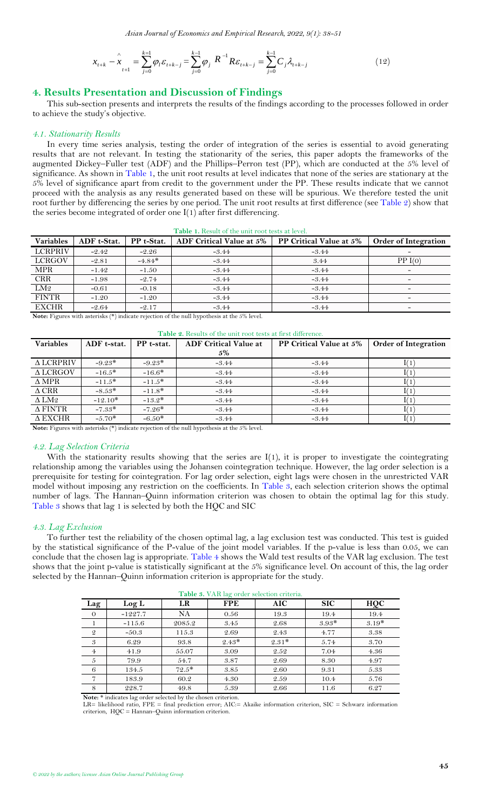*Asian Journal of Economics and Empirical Research, 2022, 9(1): 38-51*

$$
x_{t+k} - x_{t+1} = \sum_{j=0}^{k-1} \varphi_j \varepsilon_{t+k-j} = \sum_{j=0}^{k-1} \varphi_j R^{-1} R \varepsilon_{t+k-j} = \sum_{j=0}^{k-1} C_j \lambda_{t+k-j}
$$
(12)

## <span id="page-7-0"></span>**4. Results Presentation and Discussion of Findings**

This sub-section presents and interprets the results of the findings according to the processes followed in order to achieve the study's objective.

#### *4.1. Stationarity Results*

In every time series analysis, testing the order of integration of the series is essential to avoid generating results that are not relevant. In testing the stationarity of the series, this paper adopts the frameworks of the augmented Dickey–Fuller test (ADF) and the Phillips–Perron test (PP), which are conducted at the 5% level of significance. As shown in [Table 1,](#page-7-1) the unit root results at level indicates that none of the series are stationary at the 5% level of significance apart from credit to the government under the PP. These results indicate that we cannot proceed with the analysis as any results generated based on these will be spurious. We therefore tested the unit root further by differencing the series by one period. The unit root results at first difference (see [Table 2\)](#page-7-2) show that the series become integrated of order one I(1) after first differencing.

<span id="page-7-1"></span>

| <u>A MOIO II ILCOMICOI DICHOIDO I COC LCOO DE ICTUI</u> |             |            |                          |                         |                             |  |  |  |
|---------------------------------------------------------|-------------|------------|--------------------------|-------------------------|-----------------------------|--|--|--|
| <b>Variables</b>                                        | ADF t-Stat. | PP t-Stat. | ADF Critical Value at 5% | PP Critical Value at 5% | <b>Order of Integration</b> |  |  |  |
| <b>LCRPRIV</b>                                          | $-2.42$     | $-2.26$    | $-3.44$                  | $-3.44$                 | $\overline{\phantom{a}}$    |  |  |  |
| <b>LCRGOV</b>                                           | $-2.81$     | $-4.84*$   | $-3.44$                  | 3.44                    | PP I(0)                     |  |  |  |
| <b>MPR</b>                                              | $-1.49$     | $-1.50$    | $-3.44$                  | $-3.44$                 | $\overline{\phantom{0}}$    |  |  |  |
| <b>CRR</b>                                              | $-1.98$     | $-2.74$    | $-3.44$                  | $-3.44$                 | $\qquad \qquad -$           |  |  |  |
| LM2                                                     | $-0.61$     | $-0.18$    | $-3.44$                  | $-3.44$                 | $\overline{\phantom{0}}$    |  |  |  |
| <b>FINTR</b>                                            | $-1.20$     | $-1.20$    | $-3.44$                  | $-3.44$                 | $\overline{\phantom{0}}$    |  |  |  |
| <b>EXCHR</b>                                            | $-2.64$     | $-2.17$    | $-3.44$                  | $-3.44$                 | $\overline{\phantom{0}}$    |  |  |  |

**Table 1.** Result of the unit root tests at level.

**Note:** Figures with asterisks (\*) indicate rejection of the null hypothesis at the 5% level.

<span id="page-7-2"></span>

| <b>Table 2.</b> Results of the unit root tests at first difference. |                           |          |                              |                         |                             |  |  |  |  |  |
|---------------------------------------------------------------------|---------------------------|----------|------------------------------|-------------------------|-----------------------------|--|--|--|--|--|
| <b>Variables</b>                                                    | PP t-stat.<br>ADF t-stat. |          | <b>ADF Critical Value at</b> | PP Critical Value at 5% | <b>Order of Integration</b> |  |  |  |  |  |
|                                                                     |                           |          | 5%                           |                         |                             |  |  |  |  |  |
| $\triangle$ LCRPRIV                                                 | $-9.23*$                  | $-9.23*$ | $-3.44$                      | $-3.44$                 |                             |  |  |  |  |  |
| $\triangle$ LCRGOV                                                  | $-16.5*$                  | $-16.6*$ | $-3.44$                      | $-3.44$                 |                             |  |  |  |  |  |
| $\Delta$ MPR                                                        | $-11.5*$                  | $-11.5*$ | $-3.44$                      | $-3.44$                 |                             |  |  |  |  |  |
| $\triangle$ CRR                                                     | $-8.53*$                  | $-11.8*$ | $-3.44$                      | $-3.44$                 |                             |  |  |  |  |  |
| $\Delta$ LM2                                                        | $-12.10*$                 | $-13.2*$ | $-3.44$                      | $-3.44$                 |                             |  |  |  |  |  |
| $\triangle$ FINTR                                                   | $-7.33*$                  | $-7.26*$ | $-3.44$                      | $-3.44$                 |                             |  |  |  |  |  |
| $\triangle$ EXCHR                                                   | $-5.70*$                  | $-6.50*$ | $-3.44$                      | $-3.44$                 |                             |  |  |  |  |  |

**Note:** Figures with asterisks (\*) indicate rejection of the null hypothesis at the 5% level.

### *4.2. Lag Selection Criteria*

With the stationarity results showing that the series are I(1), it is proper to investigate the cointegrating relationship among the variables using the Johansen cointegration technique. However, the lag order selection is a prerequisite for testing for cointegration. For lag order selection, eight lags were chosen in the unrestricted VAR model without imposing any restriction on the coefficients. In [Table 3,](#page-7-3) each selection criterion shows the optimal number of lags. The Hannan–Quinn information criterion was chosen to obtain the optimal lag for this study. [Table 3](#page-7-3) shows that lag 1 is selected by both the HQC and SIC

#### *4.3. Lag Exclusion*

To further test the reliability of the chosen optimal lag, a lag exclusion test was conducted. This test is guided by the statistical significance of the P-value of the joint model variables. If the p-value is less than 0.05, we can conclude that the chosen lag is appropriate. [Table 4](#page-7-4) shows the Wald test results of the VAR lag exclusion. The test shows that the joint p-value is statistically significant at the 5% significance level. On account of this, the lag order selected by the Hannan–Quinn information criterion is appropriate for the study.

<span id="page-7-3"></span>

|                | Table 3. VAR lag order selection criteria. |         |            |            |            |         |  |  |  |  |
|----------------|--------------------------------------------|---------|------------|------------|------------|---------|--|--|--|--|
| Lag            | Log L                                      | LR      | <b>FPE</b> | <b>AIC</b> | <b>SIC</b> | HQC     |  |  |  |  |
| $\theta$       | $-1227.7$                                  | NA      | 0.56       | 19.3       | 19.4       | 19.4    |  |  |  |  |
| 1              | $-115.6$                                   | 2085.2  | 3.45       | 2.68       | $3.93*$    | $3.19*$ |  |  |  |  |
| $\mathfrak{D}$ | $-50.3$                                    | 115.3   | 2.69       | 2.43       | 4.77       | 3.38    |  |  |  |  |
| 3              | 6.29                                       | 93.8    | $2.43*$    | $2.31*$    | 5.74       | 3.70    |  |  |  |  |
| $\overline{4}$ | 41.9                                       | 55.07   | 3.09       | 2.52       | 7.04       | 4.36    |  |  |  |  |
| 5              | 79.9                                       | 54.7    | 3.87       | 2.69       | 8.30       | 4.97    |  |  |  |  |
| 6              | 134.5                                      | $72.5*$ | 3.85       | 2.60       | 9.31       | 5.33    |  |  |  |  |
| $\overline{7}$ | 183.9                                      | 60.2    | 4.30       | 2.59       | 10.4       | 5.76    |  |  |  |  |
| 8              | 228.7                                      | 49.8    | 5.39       | 2.66       | 11.6       | 6.27    |  |  |  |  |

**Note:** \* indicates lag order selected by the chosen criterion.

<span id="page-7-4"></span>LR= likelihood ratio, FPE = final prediction error; AIC:= Akaike information criterion, SIC = Schwarz information criterion, HQC = Hannan–Quinn information criterion.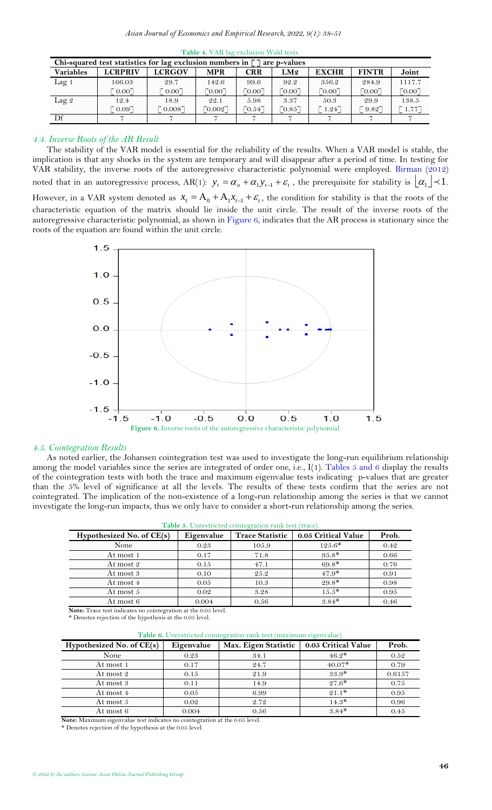| Chi-squared test statistics for lag exclusion numbers in $\lceil \cdot \rceil$ are p-values |                |                   |                       |            |                      |                |              |                      |  |  |  |
|---------------------------------------------------------------------------------------------|----------------|-------------------|-----------------------|------------|----------------------|----------------|--------------|----------------------|--|--|--|
| <b>Variables</b>                                                                            | <b>LCRPRIV</b> | <b>LCRGOV</b>     | <b>MPR</b>            | <b>CRR</b> | LM2                  | <b>EXCHR</b>   | <b>FINTR</b> | Joint                |  |  |  |
| Lag <sub>1</sub>                                                                            | 166.03         | 29.7              | 142.6                 | 99.6       | 92.2                 | 356.2          | 284.9        | 1117.7               |  |  |  |
|                                                                                             | [0.00]         | $\frac{1}{2}0.00$ | [0.00]                | [0.00]     | [0.00]               | [0.00]         | [0.00]       | [0.00]               |  |  |  |
| Lag $2$                                                                                     | 12.4           | 18.9              | 22.1                  | 5.98       | 3.37                 | 50.3           | 29.9         | 138.5                |  |  |  |
|                                                                                             | 0.097          | $0.008$ ]         | $\lceil 0.002 \rceil$ | 70.54      | $\lceil 0.85 \rceil$ | $1.24^{\circ}$ | '9.82        | $1.77$ <sup>-1</sup> |  |  |  |
| Df                                                                                          |                |                   |                       |            |                      |                |              |                      |  |  |  |

**Table 4.** VAR lag exclusion Wald tests.

### *4.4. Inverse Roots of the AR Result*

÷,

The stability of the VAR model is essential for the reliability of the results. When a VAR model is stable, the implication is that any shocks in the system are temporary and will disappear after a period of time. In testing for VAR stability, the inverse roots of the autoregressive characteristic polynomial were employed. [Birman \(2012\)](#page-10-26) noted that in an autoregressive process,  $AR(1)$ :  $y_t = \alpha_0 + \alpha_1 y_{t-1} + \varepsilon_t$ , the prerequisite for stability is  $\lfloor \alpha_1 \rfloor \prec 1$ . However, in a VAR system denoted as  $x_t = A_0 + A_1 x_{t-1} + \varepsilon_t$ , the condition for stability is that the roots of the characteristic equation of the matrix should lie inside the unit circle. The result of the inverse roots of the autoregressive characteristic polynomial, as shown in [Figure 6,](#page-8-0) indicates that the AR process is stationary since the roots of the equation are found within the unit circle.



### <span id="page-8-0"></span>*4.5. Cointegration Results*

As noted earlier, the Johansen cointegration test was used to investigate the long-run equilibrium relationship among the model variables since the series are integrated of order one, i.e.,  $I(1)$ . [Tables 5 and 6](#page-8-1) display the results of the cointegration tests with both the trace and maximum eigenvalue tests indicating p-values that are greater than the 5% level of significance at all the levels. The results of these tests confirm that the series are not cointegrated. The implication of the non-existence of a long-run relationship among the series is that we cannot investigate the long-run impacts, thus we only have to consider a short-run relationship among the series.

<span id="page-8-1"></span>

| Table 5. Unrestricted cointegration rank test (trace).                                                                             |            |                        |                     |       |  |  |  |  |
|------------------------------------------------------------------------------------------------------------------------------------|------------|------------------------|---------------------|-------|--|--|--|--|
| Hypothesized No. of $CE(s)$                                                                                                        | Eigenvalue | <b>Trace Statistic</b> | 0.05 Critical Value | Prob. |  |  |  |  |
| None                                                                                                                               | 0.23       | 105.9                  | $125.6*$            | 0.42  |  |  |  |  |
| At most 1                                                                                                                          | 0.17       | 71.8                   | $95.8*$             | 0.66  |  |  |  |  |
| At most 2                                                                                                                          | 0.15       | 47.1                   | $69.8*$             | 0.76  |  |  |  |  |
| At most 3                                                                                                                          | 0.10       | 25.2                   | $47.9*$             | 0.91  |  |  |  |  |
| At most 4                                                                                                                          | 0.05       | 10.3                   | $29.8*$             | 0.98  |  |  |  |  |
| At most 5                                                                                                                          | 0.02       | 3.28                   | $15.5*$             | 0.95  |  |  |  |  |
| At most 6                                                                                                                          | 0.004      | 0.56                   | $3.84*$             | 0.46  |  |  |  |  |
| $\mathbf{M}$ at $\mathbf{M}$ and $\mathbf{M}$ and $\mathbf{M}$ and $\mathbf{M}$ and $\mathbf{M}$ and $\mathbf{M}$ and $\mathbf{M}$ |            |                        |                     |       |  |  |  |  |

**Note:** Trace test indicates no cointegration at the 0.05 level.

\* Denotes rejection of the hypothesis at the 0.05 level.

**Table 6.** Unrestricted cointegration rank test (maximum eigenvalue).

| Hypothesized No. of $CE(s)$ | Eigenvalue | Max. Eigen Statistic | 0.05 Critical Value | Prob.  |
|-----------------------------|------------|----------------------|---------------------|--------|
| None                        | 0.23       | 34.1                 | $46.2*$             | 0.52   |
| At most 1                   | 0.17       | 24.7                 | $40.07*$            | 0.79   |
| At most 2                   | 0.15       | 21.9                 | $33.9*$             | 0.6157 |
| At most 3                   | 0.11       | 14.9                 | $27.6*$             | 0.75   |
| At most 4                   | 0.05       | 6.99                 | $21.1*$             | 0.95   |
| At most 5                   | 0.02       | 2.72                 | $14.3*$             | 0.96   |
| At most 6                   | 0.004      | 0.56                 | $3.84*$             | 0.45   |

**Note:** Maximum eigenvalue test indicates no cointegration at the 0.05 level.

\* Denotes rejection of the hypothesis at the 0.05 level.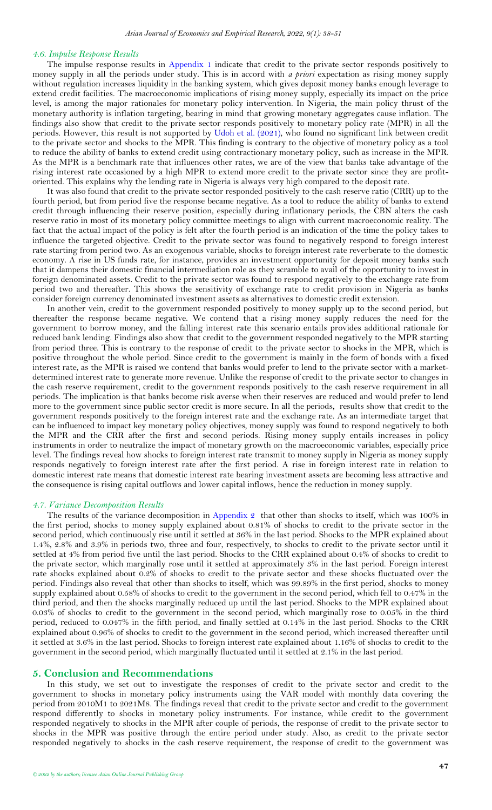#### *4.6. Impulse Response Results*

The impulse response results in [Appendix 1](#page-11-0) indicate that credit to the private sector responds positively to money supply in all the periods under study. This is in accord with *a priori* expectation as rising money supply without regulation increases liquidity in the banking system, which gives deposit money banks enough leverage to extend credit facilities. The macroeconomic implications of rising money supply, especially its impact on the price level, is among the major rationales for monetary policy intervention. In Nigeria, the main policy thrust of the monetary authority is inflation targeting, bearing in mind that growing monetary aggregates cause inflation. The findings also show that credit to the private sector responds positively to monetary policy rate (MPR) in all the periods. However, this result is not supported by [Udoh et al. \(2021\)](#page-10-8), who found no significant link between credit to the private sector and shocks to the MPR. This finding is contrary to the objective of monetary policy as a tool to reduce the ability of banks to extend credit using contractionary monetary policy, such as increase in the MPR. As the MPR is a benchmark rate that influences other rates, we are of the view that banks take advantage of the rising interest rate occasioned by a high MPR to extend more credit to the private sector since they are profitoriented. This explains why the lending rate in Nigeria is always very high compared to the deposit rate.

It was also found that credit to the private sector responded positively to the cash reserve ratio (CRR) up to the fourth period, but from period five the response became negative. As a tool to reduce the ability of banks to extend credit through influencing their reserve position, especially during inflationary periods, the CBN alters the cash reserve ratio in most of its monetary policy committee meetings to align with current macroeconomic reality. The fact that the actual impact of the policy is felt after the fourth period is an indication of the time the policy takes to influence the targeted objective. Credit to the private sector was found to negatively respond to foreign interest rate starting from period two. As an exogenous variable, shocks to foreign interest rate reverberate to the domestic economy. A rise in US funds rate, for instance, provides an investment opportunity for deposit money banks such that it dampens their domestic financial intermediation role as they scramble to avail of the opportunity to invest in foreign denominated assets. Credit to the private sector was found to respond negatively to the exchange rate from period two and thereafter. This shows the sensitivity of exchange rate to credit provision in Nigeria as banks consider foreign currency denominated investment assets as alternatives to domestic credit extension.

In another vein, credit to the government responded positively to money supply up to the second period, but thereafter the response became negative. We contend that a rising money supply reduces the need for the government to borrow money, and the falling interest rate this scenario entails provides additional rationale for reduced bank lending. Findings also show that credit to the government responded negatively to the MPR starting from period three. This is contrary to the response of credit to the private sector to shocks in the MPR, which is positive throughout the whole period. Since credit to the government is mainly in the form of bonds with a fixed interest rate, as the MPR is raised we contend that banks would prefer to lend to the private sector with a marketdetermined interest rate to generate more revenue. Unlike the response of credit to the private sector to changes in the cash reserve requirement, credit to the government responds positively to the cash reserve requirement in all periods. The implication is that banks become risk averse when their reserves are reduced and would prefer to lend more to the government since public sector credit is more secure. In all the periods, results show that credit to the government responds positively to the foreign interest rate and the exchange rate. As an intermediate target that can be influenced to impact key monetary policy objectives, money supply was found to respond negatively to both the MPR and the CRR after the first and second periods. Rising money supply entails increases in policy instruments in order to neutralize the impact of monetary growth on the macroeconomic variables, especially price level. The findings reveal how shocks to foreign interest rate transmit to money supply in Nigeria as money supply responds negatively to foreign interest rate after the first period. A rise in foreign interest rate in relation to domestic interest rate means that domestic interest rate bearing investment assets are becoming less attractive and the consequence is rising capital outflows and lower capital inflows, hence the reduction in money supply.

#### *4.7. Variance Decomposition Results*

The results of the variance decomposition in [Appendix 2](#page-11-1) that other than shocks to itself, which was 100% in the first period, shocks to money supply explained about 0.81% of shocks to credit to the private sector in the second period, which continuously rise until it settled at 36% in the last period. Shocks to the MPR explained about 1.4%, 2.8% and 3.9% in periods two, three and four, respectively, to shocks to credit to the private sector until it settled at 4% from period five until the last period. Shocks to the CRR explained about 0.4% of shocks to credit to the private sector, which marginally rose until it settled at approximately 3% in the last period. Foreign interest rate shocks explained about 0.2% of shocks to credit to the private sector and these shocks fluctuated over the period. Findings also reveal that other than shocks to itself, which was 99.89% in the first period, shocks to money supply explained about 0.58% of shocks to credit to the government in the second period, which fell to 0.47% in the third period, and then the shocks marginally reduced up until the last period. Shocks to the MPR explained about 0.03% of shocks to credit to the government in the second period, which marginally rose to 0.05% in the third period, reduced to 0.047% in the fifth period, and finally settled at 0.14% in the last period. Shocks to the CRR explained about 0.96% of shocks to credit to the government in the second period, which increased thereafter until it settled at 3.6% in the last period. Shocks to foreign interest rate explained about 1.16% of shocks to credit to the government in the second period, which marginally fluctuated until it settled at 2.1% in the last period.

### <span id="page-9-0"></span>**5. Conclusion and Recommendations**

In this study, we set out to investigate the responses of credit to the private sector and credit to the government to shocks in monetary policy instruments using the VAR model with monthly data covering the period from 2010M1 to 2021M8. The findings reveal that credit to the private sector and credit to the government respond differently to shocks in monetary policy instruments. For instance, while credit to the government responded negatively to shocks in the MPR after couple of periods, the response of credit to the private sector to shocks in the MPR was positive through the entire period under study. Also, as credit to the private sector responded negatively to shocks in the cash reserve requirement, the response of credit to the government was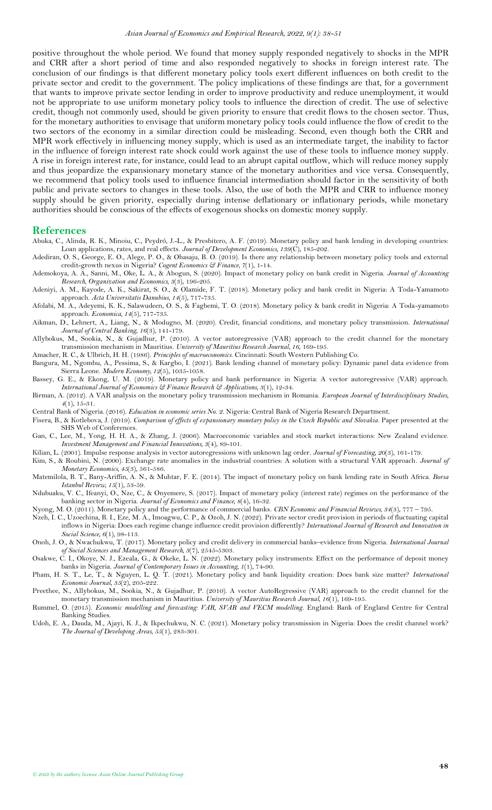positive throughout the whole period. We found that money supply responded negatively to shocks in the MPR and CRR after a short period of time and also responded negatively to shocks in foreign interest rate. The conclusion of our findings is that different monetary policy tools exert different influences on both credit to the private sector and credit to the government. The policy implications of these findings are that, for a government that wants to improve private sector lending in order to improve productivity and reduce unemployment, it would not be appropriate to use uniform monetary policy tools to influence the direction of credit. The use of selective credit, though not commonly used, should be given priority to ensure that credit flows to the chosen sector. Thus, for the monetary authorities to envisage that uniform monetary policy tools could influence the flow of credit to the two sectors of the economy in a similar direction could be misleading. Second, even though both the CRR and MPR work effectively in influencing money supply, which is used as an intermediate target, the inability to factor in the influence of foreign interest rate shock could work against the use of these tools to influence money supply. A rise in foreign interest rate, for instance, could lead to an abrupt capital outflow, which will reduce money supply and thus jeopardize the expansionary monetary stance of the monetary authorities and vice versa. Consequently, we recommend that policy tools used to influence financial intermediation should factor in the sensitivity of both public and private sectors to changes in these tools. Also, the use of both the MPR and CRR to influence money supply should be given priority, especially during intense deflationary or inflationary periods, while monetary authorities should be conscious of the effects of exogenous shocks on domestic money supply.

### <span id="page-10-0"></span>**References**

- <span id="page-10-9"></span>Abuka, C., Alinda, R. K., Minoiu, C., Peydró, J.-L., & Presbitero, A. F. (2019). Monetary policy and bank lending in developing countries: Loan applications, rates, and real effects. *Journal of Development Economics, 139*(C), 185-202.
- <span id="page-10-4"></span>Adediran, O. S., George, E. O., Alege, P. O., & Obasaju, B. O. (2019). Is there any relationship between monetary policy tools and external credit-growth nexus in Nigeria? *Cogent Economics & Finance, 7*(1), 1-14.
- <span id="page-10-5"></span>Ademokoya, A. A., Sanni, M., Oke, L. A., & Abogun, S. (2020). Impact of monetary policy on bank credit in Nigeria. *Journal of Accounting Research, Organization and Economics, 3*(3), 196-205.
- <span id="page-10-6"></span>Adeniyi, A. M., Kayode, A. K., Sakirat, S. O., & Olamide, F. T. (2018). Monetary policy and bank credit in Nigeria: A Toda-Yamamoto approach. *Acta Universitatis Danubius, 14*(5), 717-735.
- <span id="page-10-3"></span>Afolabi, M. A., Adeyemi, K. K., Salawudeen, O. S., & Fagbemi, T. O. (2018). Monetary policy & bank credit in Nigeria: A Toda-yamamoto approach. *Economica, 14*(5), 717-735.
- <span id="page-10-18"></span>Aikman, D., Lehnert, A., Liang, N., & Modugno, M. (2020). Credit, financial conditions, and monetary policy transmission. *International Journal of Central Banking, 16*(3), 141-179.
- <span id="page-10-21"></span>Allybokus, M., Sookia, N., & Gujadhur, P. (2010). A vector autoregressive (VAR) approach to the credit channel for the monetary transmission mechanism in Mauritius. *University of Mauritius Research Journal, 16*, 169-195.

<span id="page-10-11"></span>Amacher, R. C., & Ulbrich, H. H. (1986). *Principles of macroeconomics*. Cincinnati: South Western Publishing Co.

- <span id="page-10-19"></span>Bangura, M., Ngombu, A., Pessima, S., & Kargbo, I. (2021). Bank lending channel of monetary policy: Dynamic panel data evidence from Sierra Leone. *Modern Economy, 12*(5), 1035-1058.
- <span id="page-10-17"></span>Bassey, G. E., & Ekong, U. M. (2019). Monetary policy and bank performance in Nigeria: A vector autoregressive (VAR) approach. *International Journal of Economics & Finance Research & Applications, 3*(1), 12-34.
- <span id="page-10-26"></span>Birman, A. (2012). A VAR analysis on the monetary policy transmission mechanism in Romania. *European Journal of Interdisciplinary Studies, 4*(1), 15-31.
- <span id="page-10-1"></span>Central Bank of Nigeria. (2016). *Education in economic series No. 2*. Nigeria: Central Bank of Nigeria Research Department.

<span id="page-10-16"></span>Fisera, B., & Kotlebova, J. (2019). *Comparison of effects of expansionary monetary policy in the Czech Republic and Slovakia*. Paper presented at the SHS Web of Conferences.

- <span id="page-10-25"></span>Gan, C., Lee, M., Yong, H. H. A., & Zhang, J. (2006). Macroeconomic variables and stock market interactions: New Zealand evidence. *Investment Management and Financial Innovations, 3*(4), 89-101.
- <span id="page-10-24"></span>Kilian, L. (2001). Impulse response analysis in vector autoregressions with unknown lag order. *Journal of Forecasting, 20*(3), 161-179.
- <span id="page-10-23"></span>Kim, S., & Roubini, N. (2000). Exchange rate anomalies in the industrial countries: A solution with a structural VAR approach. *Journal of Monetary Economics, 45*(3), 561-586.
- <span id="page-10-14"></span>Matemilola, B. T., Bany-Ariffin, A. N., & Muhtar, F. E. (2014). The impact of monetary policy on bank lending rate in South Africa. *Borsa Istanbul Review, 15*(1), 53-59.
- <span id="page-10-15"></span>Ndubuaku, V. C., Ifeanyi, O., Nze, C., & Onyemere, S. (2017). Impact of monetary policy (interest rate) regimes on the performance of the banking sector in Nigeria. *Journal of Economics and Finance, 8*(4), 16-32.
- <span id="page-10-2"></span>Nyong, M. O. (2011). Monetary policy and the performance of commercial banks. *CBN Economic and Financial Reviews, 34*(3), 777 – 795.
- <span id="page-10-12"></span>Nzeh, I. C., Uzoechina, B. I., Eze, M. A., Imoagwu, C. P., & Ozoh, J. N. (2022). Private sector credit provision in periods of fluctuating capital inflows in Nigeria: Does each regime change influence credit provision differently? *International Journal of Research and Innovation in Social Science, 6*(1), 98-113.
- <span id="page-10-10"></span>Onoh, J. O., & Nwachukwu, T. (2017). Monetary policy and credit delivery in commercial banks–evidence from Nigeria. *International Journal of Social Sciences and Management Research, 3*(7), 2545-5303.
- <span id="page-10-7"></span>Osakwe, C. I., Okoye, N. J., Ezeala, G., & Okeke, L. N. (2022). Monetary policy instruments: Effect on the performance of deposit money banks in Nigeria. *Journal of Contemporary Issues in Accounting, 1*(1), 74-90.
- <span id="page-10-20"></span>Pham, H. S. T., Le, T., & Nguyen, L. Q. T. (2021). Monetary policy and bank liquidity creation: Does bank size matter? *International Economic Journal, 35*(2), 205-222.
- <span id="page-10-13"></span>Preethee, N., Allybokus, M., Sookia, N., & Gujadhur, P. (2010). A vector AutoRegressive (VAR) approach to the credit channel for the monetary transmission mechanism in Mauritius. *University of Mauritius Research Journal, 16*(1), 169-195.
- <span id="page-10-22"></span>Rummel, O. (2015). *Economic modelling and forecasting: VAR, SVAR and VECM modelling*. England: Bank of England Centre for Central Banking Studies.
- <span id="page-10-8"></span>Udoh, E. A., Dauda, M., Ajayi, K. J., & Ikpechukwu, N. C. (2021). Monetary policy transmission in Nigeria: Does the credit channel work? *The Journal of Developing Areas, 55*(1), 283-301.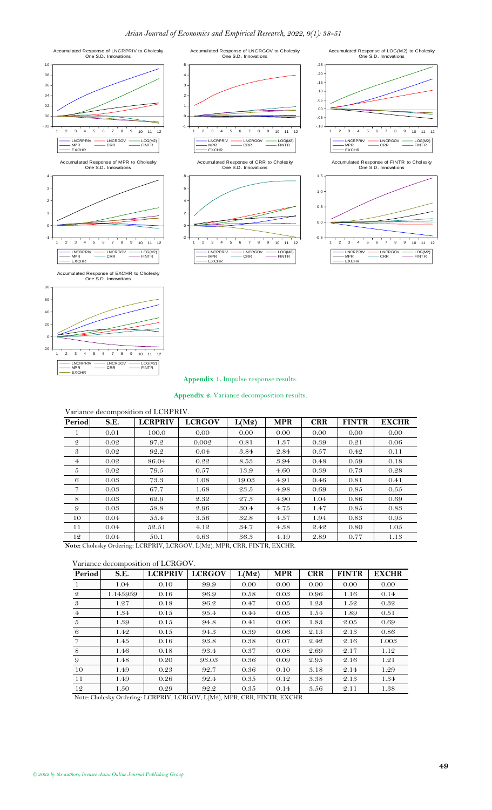





LNCRPRIV LNCRGOV

EXCHR

- LOG(M2<br>- FINTR

#### **Appendix 1.** Impulse response results.

**Appendix 2.** Variance decomposition results.

### <span id="page-11-1"></span><span id="page-11-0"></span>Variance decomposition of LCRPRIV. **Period S.E. LCRPRIV LCRGOV L(M2) MPR CRR FINTR EXCHR** 1 0.01 100.0 0.00 0.00 0.00 0.00 0.00 0.00 2 0.02 97.2 0.002 0.81 1.37 0.39 0.21 0.06 3 0.02 92.2 0.04 3.84 2.84 0.57 0.42 0.11 4 0.02 86.04 0.22 8.53 3.94 0.48 0.59 0.18  $5 \begin{array}{|c|c|c|c|c|c|c|c|} \hline 5 & 0.02 & 79.5 & 0.57 & 13.9 & 4.60 & 0.39 & 0.73 & 0.28 \ \hline \end{array}$ 6 0.03 73.3 1.08 19.03 4.91 0.46 0.81 0.41  $7 \mid 0.03 \mid 67.7 \mid 1.68 \mid 23.5 \mid 4.98 \mid 0.69 \mid 0.85 \mid 0.55$  $8 \begin{array}{|c|c|c|c|c|c|c|c|c|} \hline 8 & 0.03 & 62.9 & 2.32 & 27.3 & 4.90 & 1.04 & 0.86 & 0.69 \ \hline \end{array}$  $9 \mid 0.03 \mid 58.8 \mid 2.96 \mid 30.4 \mid 4.75 \mid 1.47 \mid 0.85 \mid 0.83$ 10 0.04 55.4 3.56 32.8 4.57 1.94 0.83 0.95 11 0.04 52.51 4.12 34.7 4.38 2.42 0.80 1.05 12 0.04 50.1 4.63 36.3 4.19 2.89 0.77 1.13

**Note:** Cholesky Ordering: LCRPRIV, LCRGOV, L(M2), MPR, CRR, FINTR, EXCHR.

#### Variance decomposition of LCRGOV.

| Period         | S.E.     | <b>LCRPRIV</b> | <b>LCRGOV</b> | L(M2) | <b>MPR</b> | <b>CRR</b> | <b>FINTR</b> | <b>EXCHR</b> |
|----------------|----------|----------------|---------------|-------|------------|------------|--------------|--------------|
|                | 1.04     | 0.10           | 99.9          | 0.00  | 0.00       | 0.00       | 0.00         | 0.00         |
| $\mathfrak{D}$ | 1.145959 | 0.16           | 96.9          | 0.58  | 0.03       | 0.96       | 1.16         | 0.14         |
| 3              | 1.27     | 0.18           | 96.2          | 0.47  | 0.05       | 1.23       | 1.52         | 0.32         |
| $\overline{4}$ | 1.34     | 0.15           | 95.4          | 0.44  | 0.05       | 1.54       | 1.89         | 0.51         |
| 5              | 1.39     | 0.15           | 94.8          | 0.41  | 0.06       | 1.83       | 2.05         | 0.69         |
| 6              | 1.42     | 0.15           | 94.3          | 0.39  | 0.06       | 2.13       | 2.13         | 0.86         |
|                | 1.45     | 0.16           | 93.8          | 0.38  | 0.07       | 2.42       | 2.16         | 1.003        |
| 8              | 1.46     | 0.18           | 93.4          | 0.37  | 0.08       | 2.69       | 2.17         | 1.12         |
| 9              | 1.48     | 0.20           | 93.03         | 0.36  | 0.09       | 2.95       | 2.16         | 1.21         |
| 10             | 1.49     | 0.23           | 92.7          | 0.36  | 0.10       | 3.18       | 2.14         | 1.29         |
| 11             | 1.49     | 0.26           | 92.4          | 0.35  | 0.12       | 3.38       | 2.13         | 1.34         |
| 12             | 1.50     | 0.29           | 92.2          | 0.35  | 0.14       | 3.56       | 2.11         | 1.38         |

Note: Cholesky Ordering: LCRPRIV, LCRGOV, L(M2), MPR, CRR, FINTR, EXCHR.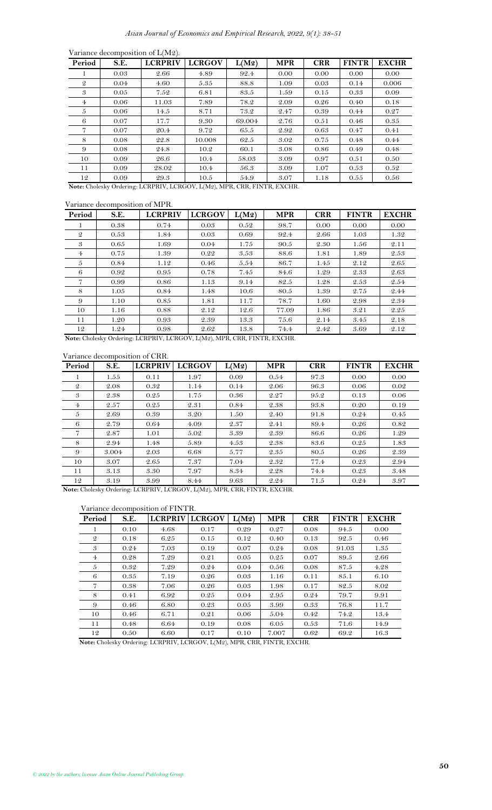|               |      | Variance decomposition of L(M2).                                         |               |        |            |            |              |              |
|---------------|------|--------------------------------------------------------------------------|---------------|--------|------------|------------|--------------|--------------|
| Period        | S.E. | <b>LCRPRIV</b>                                                           | <b>LCRGOV</b> | L(M2)  | <b>MPR</b> | <b>CRR</b> | <b>FINTR</b> | <b>EXCHR</b> |
|               | 0.03 | 2.66                                                                     | 4.89          | 92.4   | 0.00       | 0.00       | 0.00         | 0.00         |
| $\mathcal{Q}$ | 0.04 | 4.60                                                                     | 5.35          | 88.8   | 1.09       | 0.03       | 0.14         | 0.006        |
| 3             | 0.05 | 7.52                                                                     | 6.81          | 83.5   | 1.59       | 0.15       | 0.33         | 0.09         |
| 4             | 0.06 | 11.03                                                                    | 7.89          | 78.2   | 2.09       | 0.26       | 0.40         | 0.18         |
| 5             | 0.06 | 14.5                                                                     | 8.71          | 73.2   | 2.47       | 0.39       | 0.44         | 0.27         |
| 6             | 0.07 | 17.7                                                                     | 9.30          | 69.004 | 2.76       | 0.51       | 0.46         | 0.35         |
| 7             | 0.07 | 20.4                                                                     | 9.72          | 65.5   | 2.92       | 0.63       | 0.47         | 0.41         |
| 8             | 0.08 | 22.8                                                                     | 10.008        | 62.5   | 3.02       | 0.75       | 0.48         | 0.44         |
| 9             | 0.08 | 24.8                                                                     | 10.2          | 60.1   | 3.08       | 0.86       | 0.49         | 0.48         |
| 10            | 0.09 | 26.6                                                                     | 10.4          | 58.03  | 3.09       | 0.97       | 0.51         | 0.50         |
| 11            | 0.09 | 28.02                                                                    | 10.4          | 56.3   | 3.09       | 1.07       | 0.53         | 0.52         |
| 12            | 0.09 | 29.3                                                                     | 10.5          | 54.9   | 3.07       | 1.18       | 0.55         | 0.56         |
|               |      | Note: Cholesky Ordering: LCRPRIV, LCRGOV, L(M2), MPR, CRR, FINTR, EXCHR. |               |        |            |            |              |              |

### Variance decomposition of MPR.

| Period         | S.E. | <b>LCRPRIV</b>                                                           | <b>LCRGOV</b> | L(M2) | <b>MPR</b> | <b>CRR</b> | <b>FINTR</b> | <b>EXCHR</b> |
|----------------|------|--------------------------------------------------------------------------|---------------|-------|------------|------------|--------------|--------------|
|                | 0.38 | 0.74                                                                     | 0.03          | 0.52  | 98.7       | 0.00       | 0.00         | 0.00         |
| $\mathfrak{D}$ | 0.53 | 1.84                                                                     | 0.03          | 0.69  | 92.4       | 2.66       | 1.03         | 1.32         |
| 3              | 0.65 | 1.69                                                                     | 0.04          | 1.75  | 90.5       | 2.30       | 1.56         | 2.11         |
| $\overline{4}$ | 0.75 | 1.39                                                                     | 0.22          | 3.53  | 88.6       | 1.81       | 1.89         | 2.53         |
| 5              | 0.84 | 1.12                                                                     | 0.46          | 5.54  | 86.7       | 1.45       | 2.12         | 2.65         |
| 6              | 0.92 | 0.95                                                                     | 0.78          | 7.45  | 84.6       | 1.29       | 2.33         | 2.63         |
| 7              | 0.99 | 0.86                                                                     | 1.13          | 9.14  | 82.5       | 1.28       | 2.53         | 2.54         |
| 8              | 1.05 | 0.84                                                                     | 1.48          | 10.6  | 80.5       | 1.39       | 2.75         | 2.44         |
| 9              | 1.10 | 0.85                                                                     | 1.81          | 11.7  | 78.7       | 1.60       | 2.98         | 2.34         |
| 10             | 1.16 | 0.88                                                                     | 2.12          | 12.6  | 77.09      | 1.86       | 3.21         | 2.25         |
| 11             | 1.20 | 0.93                                                                     | 2.39          | 13.3  | 75.6       | 2.14       | 3.45         | 2.18         |
| 12             | 1.24 | 0.98                                                                     | 2.62          | 13.8  | 74.4       | 2.42       | 3.69         | 2.12         |
|                |      | Note: Cholesky Ordering: LCRPRIV, LCRGOV, L(M2), MPR, CRR, FINTR, EXCHR. |               |       |            |            |              |              |

# Variance decomposition of CRR.

| Period         | S.E.  | <b>LCRPRIV</b> | <b>LCRGOV</b> | L(M2) | <b>MPR</b> | <b>CRR</b> | <b>FINTR</b> | <b>EXCHR</b> |
|----------------|-------|----------------|---------------|-------|------------|------------|--------------|--------------|
| 1              | 1.55  | 0.11           | 1.97          | 0.09  | 0.54       | 97.3       | 0.00         | 0.00         |
| $\mathcal{Q}$  | 2.08  | 0.32           | 1.14          | 0.14  | 2.06       | 96.3       | 0.06         | 0.02         |
| 3              | 2.38  | 0.25           | 1.75          | 0.36  | 2.27       | 95.2       | 0.13         | 0.06         |
| $\overline{4}$ | 2.57  | 0.25           | 2.31          | 0.84  | 2.38       | 93.8       | 0.20         | 0.19         |
| 5              | 2.69  | 0.39           | 3.20          | 1.50  | 2.40       | 91.8       | 0.24         | 0.45         |
| 6              | 2.79  | 0.64           | 4.09          | 2.37  | 2.41       | 89.4       | 0.26         | 0.82         |
| 7              | 2.87  | 1.01           | 5.02          | 3.39  | 2.39       | 86.6       | 0.26         | 1.29         |
| 8              | 2.94  | 1.48           | 5.89          | 4.53  | 2.38       | 83.6       | 0.25         | 1.83         |
| 9              | 3.004 | 2.03           | 6.68          | 5.77  | 2.35       | 80.5       | 0.26         | 2.39         |
| 10             | 3.07  | 2.65           | 7.37          | 7.04  | 2.32       | 77.4       | 0.23         | 2.94         |
| 11             | 3.13  | 3.30           | 7.97          | 8.34  | 2.28       | 74.4       | 0.23         | 3.48         |
| 12             | 3.19  | 3.99           | 8.44          | 9.63  | 2.24       | 71.5       | 0.24         | 3.97         |

**Note:** Cholesky Ordering: LCRPRIV, LCRGOV, L(M2), MPR, CRR, FINTR, EXCHR.

## Variance decomposition of FINTR.

| Period         | S.E. | <b>LCRPRIV</b> | <b>LCRGOV</b> | L(M2) | <b>MPR</b> | <b>CRR</b> | <b>FINTR</b> | <b>EXCHR</b> |
|----------------|------|----------------|---------------|-------|------------|------------|--------------|--------------|
|                | 0.10 | 4.68           | 0.17          | 0.29  | 0.27       | 0.08       | 94.5         | 0.00         |
| $\mathfrak{D}$ | 0.18 | 6.25           | 0.15          | 0.12  | 0.40       | 0.13       | 92.5         | 0.46         |
| 3              | 0.24 | 7.03           | 0.19          | 0.07  | 0.24       | 0.08       | 91.03        | 1.35         |
| 4              | 0.28 | 7.29           | 0.21          | 0.05  | 0.25       | 0.07       | 89.5         | 2.66         |
| 5              | 0.32 | 7.29           | 0.24          | 0.04  | 0.56       | 0.08       | 87.5         | 4.28         |
| 6              | 0.35 | 7.19           | 0.26          | 0.03  | 1.16       | 0.11       | 85.1         | 6.10         |
| 7              | 0.38 | 7.06           | 0.26          | 0.03  | 1.98       | 0.17       | 82.5         | 8.02         |
| 8              | 0.41 | 6.92           | 0.25          | 0.04  | 2.95       | 0.24       | 79.7         | 9.91         |
| 9              | 0.46 | 6.80           | 0.23          | 0.05  | 3.99       | 0.33       | 76.8         | 11.7         |
| 10             | 0.46 | 6.71           | 0.21          | 0.06  | 5.04       | 0.42       | 74.2         | 13.4         |
| 11             | 0.48 | 6.64           | 0.19          | 0.08  | 6.05       | 0.53       | 71.6         | 14.9         |
| 12             | 0.50 | 6.60           | 0.17          | 0.10  | 7.007      | 0.62       | 69.2         | 16.3         |

**Note:** Cholesky Ordering: LCRPRIV, LCRGOV, L(M2), MPR, CRR, FINTR, EXCHR.